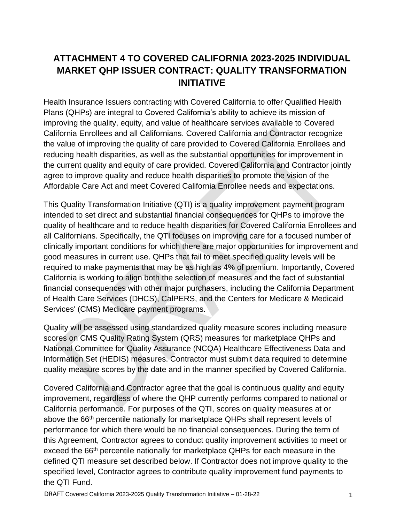# **ATTACHMENT 4 TO COVERED CALIFORNIA 2023-2025 INDIVIDUAL MARKET QHP ISSUER CONTRACT: QUALITY TRANSFORMATION INITIATIVE**

Health Insurance Issuers contracting with Covered California to offer Qualified Health Plans (QHPs) are integral to Covered California's ability to achieve its mission of improving the quality, equity, and value of healthcare services available to Covered California Enrollees and all Californians. Covered California and Contractor recognize the value of improving the quality of care provided to Covered California Enrollees and reducing health disparities, as well as the substantial opportunities for improvement in the current quality and equity of care provided. Covered California and Contractor jointly agree to improve quality and reduce health disparities to promote the vision of the Affordable Care Act and meet Covered California Enrollee needs and expectations.

This Quality Transformation Initiative (QTI) is a quality improvement payment program intended to set direct and substantial financial consequences for QHPs to improve the quality of healthcare and to reduce health disparities for Covered California Enrollees and all Californians. Specifically, the QTI focuses on improving care for a focused number of clinically important conditions for which there are major opportunities for improvement and good measures in current use. QHPs that fail to meet specified quality levels will be required to make payments that may be as high as 4% of premium. Importantly, Covered California is working to align both the selection of measures and the fact of substantial financial consequences with other major purchasers, including the California Department of Health Care Services (DHCS), CalPERS, and the Centers for Medicare & Medicaid Services' (CMS) Medicare payment programs.

Quality will be assessed using standardized quality measure scores including measure scores on CMS Quality Rating System (QRS) measures for marketplace QHPs and National Committee for Quality Assurance (NCQA) Healthcare Effectiveness Data and Information Set (HEDIS) measures. Contractor must submit data required to determine quality measure scores by the date and in the manner specified by Covered California.

Covered California and Contractor agree that the goal is continuous quality and equity improvement, regardless of where the QHP currently performs compared to national or California performance. For purposes of the QTI, scores on quality measures at or above the 66<sup>th</sup> percentile nationally for marketplace QHPs shall represent levels of performance for which there would be no financial consequences. During the term of this Agreement, Contractor agrees to conduct quality improvement activities to meet or exceed the 66<sup>th</sup> percentile nationally for marketplace QHPs for each measure in the defined QTI measure set described below. If Contractor does not improve quality to the specified level, Contractor agrees to contribute quality improvement fund payments to the QTI Fund.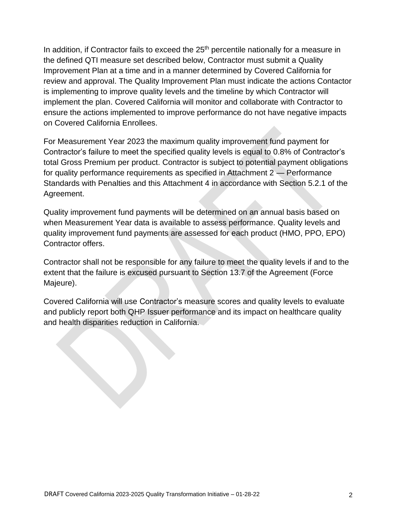In addition, if Contractor fails to exceed the  $25<sup>th</sup>$  percentile nationally for a measure in the defined QTI measure set described below, Contractor must submit a Quality Improvement Plan at a time and in a manner determined by Covered California for review and approval. The Quality Improvement Plan must indicate the actions Contactor is implementing to improve quality levels and the timeline by which Contractor will implement the plan. Covered California will monitor and collaborate with Contractor to ensure the actions implemented to improve performance do not have negative impacts on Covered California Enrollees.

For Measurement Year 2023 the maximum quality improvement fund payment for Contractor's failure to meet the specified quality levels is equal to 0.8% of Contractor's total Gross Premium per product. Contractor is subject to potential payment obligations for quality performance requirements as specified in Attachment 2 — Performance Standards with Penalties and this Attachment 4 in accordance with Section 5.2.1 of the Agreement.

Quality improvement fund payments will be determined on an annual basis based on when Measurement Year data is available to assess performance. Quality levels and quality improvement fund payments are assessed for each product (HMO, PPO, EPO) Contractor offers.

Contractor shall not be responsible for any failure to meet the quality levels if and to the extent that the failure is excused pursuant to Section 13.7 of the Agreement (Force Majeure).

Covered California will use Contractor's measure scores and quality levels to evaluate and publicly report both QHP Issuer performance and its impact on healthcare quality and health disparities reduction in California.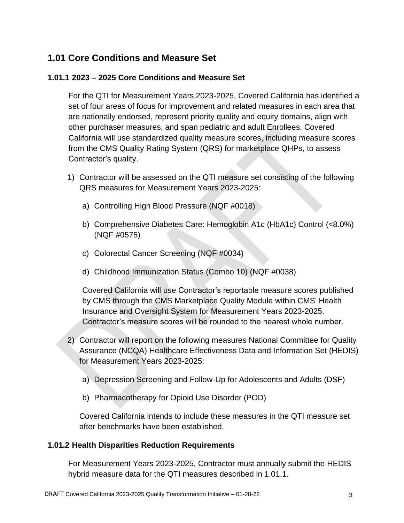## **1.01 Core Conditions and Measure Set**

### **1.01.1 2023 – 2025 Core Conditions and Measure Set**

For the QTI for Measurement Years 2023-2025, Covered California has identified a set of four areas of focus for improvement and related measures in each area that are nationally endorsed, represent priority quality and equity domains, align with other purchaser measures, and span pediatric and adult Enrollees. Covered California will use standardized quality measure scores, including measure scores from the CMS Quality Rating System (QRS) for marketplace QHPs, to assess Contractor's quality.

- 1) Contractor will be assessed on the QTI measure set consisting of the following QRS measures for Measurement Years 2023-2025:
	- a) Controlling High Blood Pressure (NQF #0018)
	- b) Comprehensive Diabetes Care: Hemoglobin A1c (HbA1c) Control (<8.0%) (NQF #0575)
	- c) Colorectal Cancer Screening (NQF #0034)
	- d) Childhood Immunization Status (Combo 10) (NQF #0038)

Covered California will use Contractor's reportable measure scores published by CMS through the CMS Marketplace Quality Module within CMS' Health Insurance and Oversight System for Measurement Years 2023-2025. Contractor's measure scores will be rounded to the nearest whole number.

- 2) Contractor will report on the following measures National Committee for Quality Assurance (NCQA) Healthcare Effectiveness Data and Information Set (HEDIS) for Measurement Years 2023-2025:
	- a) Depression Screening and Follow-Up for Adolescents and Adults (DSF)
	- b) Pharmacotherapy for Opioid Use Disorder (POD)

Covered California intends to include these measures in the QTI measure set after benchmarks have been established.

#### **1.01.2 Health Disparities Reduction Requirements**

For Measurement Years 2023-2025, Contractor must annually submit the HEDIS hybrid measure data for the QTI measures described in 1.01.1.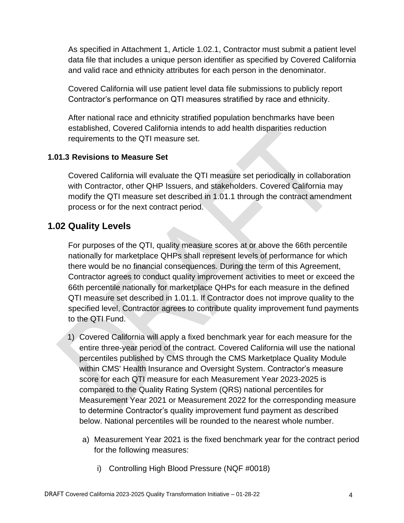As specified in Attachment 1, Article 1.02.1, Contractor must submit a patient level data file that includes a unique person identifier as specified by Covered California and valid race and ethnicity attributes for each person in the denominator.

Covered California will use patient level data file submissions to publicly report Contractor's performance on QTI measures stratified by race and ethnicity.

After national race and ethnicity stratified population benchmarks have been established, Covered California intends to add health disparities reduction requirements to the QTI measure set.

#### **1.01.3 Revisions to Measure Set**

Covered California will evaluate the QTI measure set periodically in collaboration with Contractor, other QHP Issuers, and stakeholders. Covered California may modify the QTI measure set described in 1.01.1 through the contract amendment process or for the next contract period.

### **1.02 Quality Levels**

For purposes of the QTI, quality measure scores at or above the 66th percentile nationally for marketplace QHPs shall represent levels of performance for which there would be no financial consequences. During the term of this Agreement, Contractor agrees to conduct quality improvement activities to meet or exceed the 66th percentile nationally for marketplace QHPs for each measure in the defined QTI measure set described in 1.01.1. If Contractor does not improve quality to the specified level, Contractor agrees to contribute quality improvement fund payments to the QTI Fund.

- 1) Covered California will apply a fixed benchmark year for each measure for the entire three-year period of the contract. Covered California will use the national percentiles published by CMS through the CMS Marketplace Quality Module within CMS' Health Insurance and Oversight System. Contractor's measure score for each QTI measure for each Measurement Year 2023-2025 is compared to the Quality Rating System (QRS) national percentiles for Measurement Year 2021 or Measurement 2022 for the corresponding measure to determine Contractor's quality improvement fund payment as described below. National percentiles will be rounded to the nearest whole number.
	- a) Measurement Year 2021 is the fixed benchmark year for the contract period for the following measures:
		- i) Controlling High Blood Pressure (NQF #0018)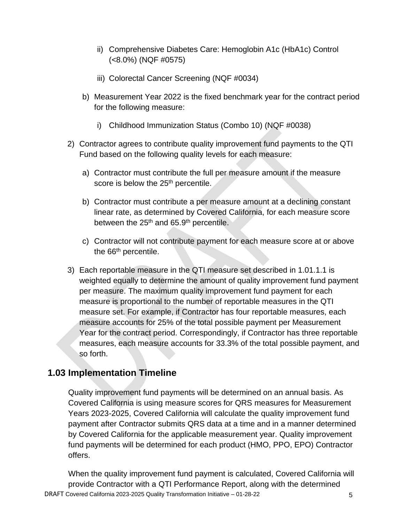- ii) Comprehensive Diabetes Care: Hemoglobin A1c (HbA1c) Control (<8.0%) (NQF #0575)
- iii) Colorectal Cancer Screening (NQF #0034)
- b) Measurement Year 2022 is the fixed benchmark year for the contract period for the following measure:
	- i) Childhood Immunization Status (Combo 10) (NQF #0038)
- 2) Contractor agrees to contribute quality improvement fund payments to the QTI Fund based on the following quality levels for each measure:
	- a) Contractor must contribute the full per measure amount if the measure score is below the 25<sup>th</sup> percentile.
	- b) Contractor must contribute a per measure amount at a declining constant linear rate, as determined by Covered California, for each measure score between the 25<sup>th</sup> and 65.9<sup>th</sup> percentile.
	- c) Contractor will not contribute payment for each measure score at or above the 66<sup>th</sup> percentile.
- 3) Each reportable measure in the QTI measure set described in 1.01.1.1 is weighted equally to determine the amount of quality improvement fund payment per measure. The maximum quality improvement fund payment for each measure is proportional to the number of reportable measures in the QTI measure set. For example, if Contractor has four reportable measures, each measure accounts for 25% of the total possible payment per Measurement Year for the contract period. Correspondingly, if Contractor has three reportable measures, each measure accounts for 33.3% of the total possible payment, and so forth.

### **1.03 Implementation Timeline**

Quality improvement fund payments will be determined on an annual basis. As Covered California is using measure scores for QRS measures for Measurement Years 2023-2025, Covered California will calculate the quality improvement fund payment after Contractor submits QRS data at a time and in a manner determined by Covered California for the applicable measurement year. Quality improvement fund payments will be determined for each product (HMO, PPO, EPO) Contractor offers.

DRAFT Covered California 2023-2025 Quality Transformation Initiative - 01-28-22 When the quality improvement fund payment is calculated, Covered California will provide Contractor with a QTI Performance Report, along with the determined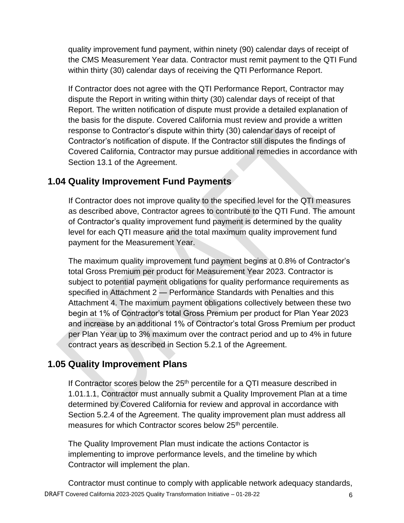quality improvement fund payment, within ninety (90) calendar days of receipt of the CMS Measurement Year data. Contractor must remit payment to the QTI Fund within thirty (30) calendar days of receiving the QTI Performance Report.

If Contractor does not agree with the QTI Performance Report, Contractor may dispute the Report in writing within thirty (30) calendar days of receipt of that Report. The written notification of dispute must provide a detailed explanation of the basis for the dispute. Covered California must review and provide a written response to Contractor's dispute within thirty (30) calendar days of receipt of Contractor's notification of dispute. If the Contractor still disputes the findings of Covered California, Contractor may pursue additional remedies in accordance with Section 13.1 of the Agreement.

## **1.04 Quality Improvement Fund Payments**

If Contractor does not improve quality to the specified level for the QTI measures as described above, Contractor agrees to contribute to the QTI Fund. The amount of Contractor's quality improvement fund payment is determined by the quality level for each QTI measure and the total maximum quality improvement fund payment for the Measurement Year.

The maximum quality improvement fund payment begins at 0.8% of Contractor's total Gross Premium per product for Measurement Year 2023. Contractor is subject to potential payment obligations for quality performance requirements as specified in Attachment 2 — Performance Standards with Penalties and this Attachment 4. The maximum payment obligations collectively between these two begin at 1% of Contractor's total Gross Premium per product for Plan Year 2023 and increase by an additional 1% of Contractor's total Gross Premium per product per Plan Year up to 3% maximum over the contract period and up to 4% in future contract years as described in Section 5.2.1 of the Agreement.

## **1.05 Quality Improvement Plans**

If Contractor scores below the  $25<sup>th</sup>$  percentile for a QTI measure described in 1.01.1.1, Contractor must annually submit a Quality Improvement Plan at a time determined by Covered California for review and approval in accordance with Section 5.2.4 of the Agreement. The quality improvement plan must address all measures for which Contractor scores below 25<sup>th</sup> percentile.

The Quality Improvement Plan must indicate the actions Contactor is implementing to improve performance levels, and the timeline by which Contractor will implement the plan.

DRAFT Covered California 2023-2025 Quality Transformation Initiative - 01-28-22 Contractor must continue to comply with applicable network adequacy standards,